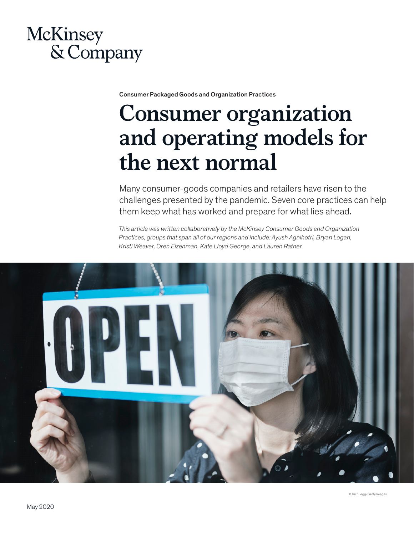## **McKinsey** & Company

Consumer Packaged Goods and Organization Practices

# **Consumer organization and operating models for the next normal**

Many consumer-goods companies and retailers have risen to the challenges presented by the pandemic. Seven core practices can help them keep what has worked and prepare for what lies ahead.

*This article was written collaboratively by the McKinsey Consumer Goods and Organization Practices, groups that span all of our regions and include: Ayush Agnihotri, Bryan Logan, Kristi Weaver, Oren Eizenman, Kate Lloyd George, and Lauren Ratner.*

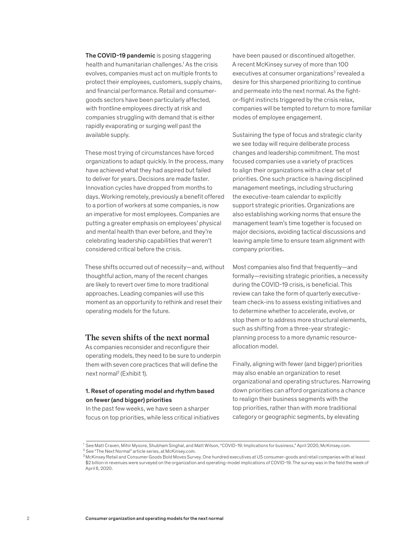The COVID-19 pandemic is posing staggering health and humanitarian challenges.<sup>1</sup> As the crisis evolves, companies must act on multiple fronts to protect their employees, customers, supply chains, and financial performance. Retail and consumergoods sectors have been particularly affected, with frontline employees directly at risk and companies struggling with demand that is either rapidly evaporating or surging well past the available supply.

These most trying of circumstances have forced organizations to adapt quickly. In the process, many have achieved what they had aspired but failed to deliver for years. Decisions are made faster. Innovation cycles have dropped from months to days. Working remotely, previously a benefit offered to a portion of workers at some companies, is now an imperative for most employees. Companies are putting a greater emphasis on employees' physical and mental health than ever before, and they're celebrating leadership capabilities that weren't considered critical before the crisis.

These shifts occurred out of necessity—and, without thoughtful action, many of the recent changes are likely to revert over time to more traditional approaches. Leading companies will use this moment as an opportunity to rethink and reset their operating models for the future.

#### **The seven shifts of the next normal**

As companies reconsider and reconfigure their operating models, they need to be sure to underpin them with seven core practices that will define the next normal<sup>2</sup> (Exhibit 1).

#### 1. Reset of operating model and rhythm based on fewer (and bigger) priorities

In the past few weeks, we have seen a sharper focus on top priorities, while less critical initiatives have been paused or discontinued altogether. A recent McKinsey survey of more than 100 executives at consumer organizations<sup>3</sup> revealed a desire for this sharpened prioritizing to continue and permeate into the next normal. As the fightor-flight instincts triggered by the crisis relax, companies will be tempted to return to more familiar modes of employee engagement.

Sustaining the type of focus and strategic clarity we see today will require deliberate process changes and leadership commitment. The most focused companies use a variety of practices to align their organizations with a clear set of priorities. One such practice is having disciplined management meetings, including structuring the executive-team calendar to explicitly support strategic priorities. Organizations are also establishing working norms that ensure the management team's time together is focused on major decisions, avoiding tactical discussions and leaving ample time to ensure team alignment with company priorities.

Most companies also find that frequently—and formally—revisiting strategic priorities, a necessity during the COVID-19 crisis, is beneficial. This review can take the form of quarterly executiveteam check-ins to assess existing initiatives and to determine whether to accelerate, evolve, or stop them or to address more structural elements, such as shifting from a three-year strategicplanning process to a more dynamic resourceallocation model.

Finally, aligning with fewer (and bigger) priorities may also enable an organization to reset organizational and operating structures. Narrowing down priorities can afford organizations a chance to realign their business segments with the top priorities, rather than with more traditional category or geographic segments, by elevating

<sup>1</sup> See Matt Craven, Mihir Mysore, Shubham Singhal, and Matt Wilson, "COVID-19: Implications for business," April 2020, McKinsey.com.

 $2$  See "The Next Normal" article series, at McKinsey.com.

<sup>&</sup>lt;sup>3</sup> McKinsey Retail and Consumer Goods Bold Moves Survey. One hundred executives at US consumer-goods and retail companies with at least \$2 billion in revenues were surveyed on the organization and operating-model implications of COVID-19. The survey was in the field the week of April 6, 2020.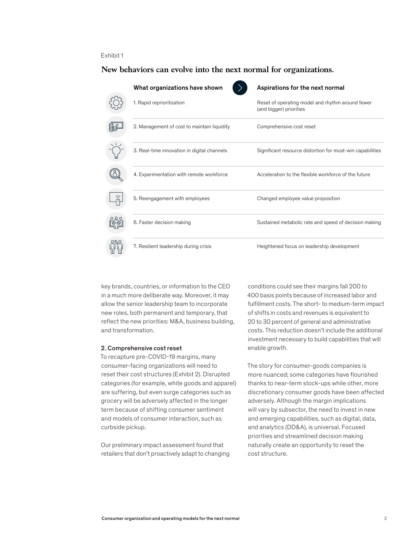#### Exhibit 1

#### **New behaviors can evolve into the next normal for organizations.**

|        | What organizations have shown               | Aspirations for the next normal                                             |
|--------|---------------------------------------------|-----------------------------------------------------------------------------|
|        | 1. Rapid reprioritization                   | Reset of operating model and rhythm around fewer<br>(and bigger) priorities |
|        | 2. Management of cost to maintain liquidity | Comprehensive cost reset                                                    |
|        | 3. Real-time innovation in digital channels | Significant resource distortion for must-win capabilities                   |
|        | 4. Experimentation with remote workforce    | Acceleration to the flexible workforce of the future                        |
| ر<br>ت | 5. Reengagement with employees              | Changed employee value proposition                                          |
|        | 6. Faster decision making                   | Sustained metabolic rate and speed of decision making                       |
| 0ZC    | 7. Resilient leadership during crisis       | Heightened focus on leadership development                                  |

key brands, countries, or information to the CEO in a much more deliberate way. Moreover, it may allow the senior leadership team to incorporate new roles, both permanent and temporary, that reflect the new priorities: M&A, business building, and transformation.

#### 2. Comprehensive cost reset

To recapture pre-COVID-19 margins, many consumer-facing organizations will need to reset their cost structures (Exhibit 2). Disrupted categories (for example, white goods and apparel) are suffering, but even surge categories such as grocery will be adversely affected in the longer term because of shifting consumer sentiment and models of consumer interaction, such as curbside pickup.

Our preliminary impact assessment found that retailers that don't proactively adapt to changing

conditions could see their margins fall 200 to 400 basis points because of increased labor and fulfillment costs. The short- to medium-term impact of shifts in costs and revenues is equivalent to 20 to 30 percent of general and administrative costs. This reduction doesn't include the additional investment necessary to build capabilities that will enable growth.

The story for consumer-goods companies is more nuanced; some categories have flourished thanks to near-term stock-ups while other, more discretionary consumer goods have been affected adversely. Although the margin implications will vary by subsector, the need to invest in new and emerging capabilities, such as digital, data, and analytics (DD&A), is universal. Focused priorities and streamlined decision making naturally create an opportunity to reset the cost structure.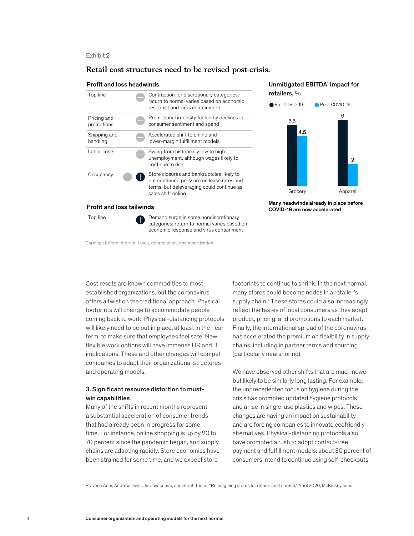Exhibit 2

#### **Retail cost structures need to be revised post-crisis.**

#### Profit and loss headwinds

| Top line                         |  | Contraction for discretionary categories;<br>return to normal varies based on economic<br>response and virus containment                                  |  |  |  |
|----------------------------------|--|-----------------------------------------------------------------------------------------------------------------------------------------------------------|--|--|--|
| Pricing and<br>promotions        |  | Promotional intensity fueled by declines in<br>consumer sentiment and spend                                                                               |  |  |  |
| Shipping and<br>handling         |  | Accelerated shift to online and<br>lower-margin fulfillment models                                                                                        |  |  |  |
| Labor costs                      |  | Swing from historically low to high<br>unemployment, although wages likely to<br>continue to rise                                                         |  |  |  |
| Occupancy                        |  | Store closures and bankruptcies likely to<br>put continued pressure on lease rates and<br>terms, but deleveraging could continue as<br>sales shift online |  |  |  |
| <b>Profit and loss tailwinds</b> |  |                                                                                                                                                           |  |  |  |
| Top line                         |  | Demand surge in some nondiscretionary                                                                                                                     |  |  |  |

categories; return to normal varies based on economic response and virus containment

#### Unmitigated EBITDA1 impact for retailers, %



Many headwinds already in place before COVID-19 are now accelerated

1 Earnings before interest, taxes, depreciation, and amortization.

Cost resets are known commodities to most established organizations, but the coronavirus offers a twist on the traditional approach. Physical footprints will change to accommodate people coming back to work. Physical-distancing protocols will likely need to be put in place, at least in the near term, to make sure that employees feel safe. New flexible work options will have immense HR and IT implications. These and other changes will compel companies to adapt their organizational structures and operating models.

#### 3. Significant resource distortion to mustwin capabilities

Many of the shifts in recent months represent a substantial acceleration of consumer trends that had already been in progress for some time. For instance, online shopping is up by 20 to 70 percent since the pandemic began, and supply chains are adapting rapidly. Store economics have been strained for some time, and we expect store

footprints to continue to shrink. In the next normal, many stores could become nodes in a retailer's supply chain.<sup>4</sup> These stores could also increasingly reflect the tastes of local consumers as they adapt product, pricing, and promotions to each market. Finally, the international spread of the coronavirus has accelerated the premium on flexibility in supply chains, including in partner terms and sourcing (particularly nearshoring).

We have observed other shifts that are much newer but likely to be similarly long lasting. For example, the unprecedented focus on hygiene during the crisis has prompted updated hygiene protocols and a rise in single-use plastics and wipes. These changes are having an impact on sustainability and are forcing companies to innovate ecofriendly alternatives. Physical-distancing protocols also have prompted a rush to adopt contact-free payment and fulfillment models: about 30 percent of consumers intend to continue using self-checkouts

<sup>4</sup> Praveen Adhi, Andrew Davis, Jai Jayakumar, and Sarah Touse, "Reimagining stores for retail's next normal," April 2020, McKinsey.com.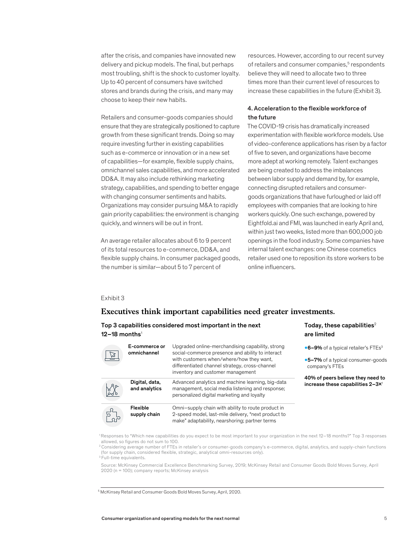after the crisis, and companies have innovated new delivery and pickup models. The final, but perhaps most troubling, shift is the shock to customer loyalty. Up to 40 percent of consumers have switched stores and brands during the crisis, and many may choose to keep their new habits.

Retailers and consumer-goods companies should ensure that they are strategically positioned to capture growth from these significant trends. Doing so may require investing further in existing capabilities such as e-commerce or innovation or in a new set of capabilities—for example, flexible supply chains, omnichannel sales capabilities, and more accelerated DD&A. It may also include rethinking marketing strategy, capabilities, and spending to better engage with changing consumer sentiments and habits. Organizations may consider pursuing M&A to rapidly gain priority capabilities: the environment is changing quickly, and winners will be out in front.

An average retailer allocates about 6 to 9 percent of its total resources to e-commerce, DD&A, and internal talent exc flexible supply chains. In consumer packaged goods, the number is similar—about 5 to 7 percent of

resources. However, according to our recent survey of retailers and consumer companies,<sup>5</sup> respondents believe they will need to allocate two to three times more than their current level of resources to increase these capabilities in the future (Exhibit 3).

#### 4. Acceleration to the flexible workforce of the future

The COVID-19 crisis has dramatically increased experimentation with flexible workforce models. Use of video-conference applications has risen by a factor of five to seven, and organizations have become more adept at working remotely. Talent exchanges are being created to address the imbalances between labor supply and demand by, for example, connecting disrupted retailers and consumergoods organizations that have furloughed or laid off employees with companies that are looking to hire workers quickly. One such exchange, powered by Eightfold.ai and FMI, was launched in early April and, within just two weeks, listed more than 600,000 job openings in the food industry. Some companies have internal talent exchanges: one Chinese cosmetics retailer used one to reposition its store workers to be online influencers.

Today, these capabilities $2$ 

are limited

#### Exhibit 3

#### **Executives think important capabilities need greater investments.**

#### Top 3 capabilities considered most important in the next 12–18 months $1$

| $\overline{\mathbb{Z}}$ | E-commerce or<br>omnichannel    | Upgraded online-merchandising capability, strong<br>social-commerce presence and ability to interact<br>with customers when/where/how they want,<br>differentiated channel strategy, cross-channel | •6-9% of a typical retailer's FTEs <sup>3</sup><br>•5-7% of a typical consumer-goods<br>company's FTEs |
|-------------------------|---------------------------------|----------------------------------------------------------------------------------------------------------------------------------------------------------------------------------------------------|--------------------------------------------------------------------------------------------------------|
| LL                      | Digital, data,<br>and analytics | inventory and customer management<br>Advanced analytics and machine learning, big-data<br>management, social media listening and response;<br>personalized digital marketing and loyalty           | 40% of peers believe they need to<br>increase these capabilities 2-3×1                                 |
| 57.<br>Dar              | Flexible<br>supply chain        | Omni-supply chain with ability to route product in<br>2-speed model, last-mile delivery, "next product to<br>make" adaptability, nearshoring; partner terms                                        |                                                                                                        |

1 Responses to "Which new capabilities do you expect to be most important to your organization in the next 12–18 months?" Top 3 responses allowed, so figures do not sum to 100.

2 Considering average number of FTEs in retailer's or consumer-goods company's e-commerce, digital, analytics, and supply-chain functions (for supply chain, considered flexible, strategic, analytical omni-resources only).

<sup>3</sup> Full-time equivalents.

Source: McKinsey Commercial Excellence Benchmarking Survey, 2019; McKinsey Retail and Consumer Goods Bold Moves Survey, April 2020 (n = 100); company reports; McKinsey analysis

<sup>5</sup> McKinsey Retail and Consumer Goods Bold Moves Survey, April, 2020.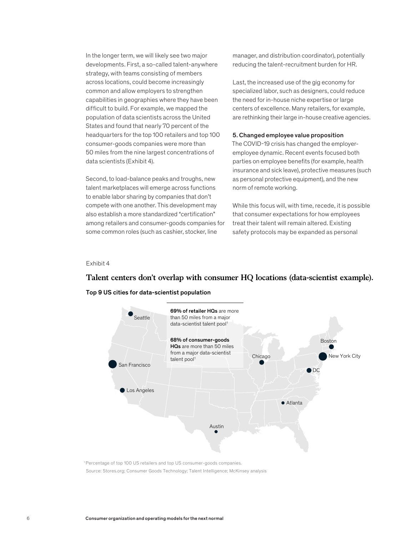In the longer term, we will likely see two major developments. First, a so-called talent-anywhere strategy, with teams consisting of members across locations, could become increasingly common and allow employers to strengthen capabilities in geographies where they have been difficult to build. For example, we mapped the population of data scientists across the United States and found that nearly 70 percent of the headquarters for the top 100 retailers and top 100 consumer-goods companies were more than 50 miles from the nine largest concentrations of data scientists (Exhibit 4).

Second, to load-balance peaks and troughs, new talent marketplaces will emerge across functions to enable labor sharing by companies that don't compete with one another. This development may also establish a more standardized "certification" hat consumer ex among retailers and consumer-goods companies for some common roles (such as cashier, stocker, line

manager, and distribution coordinator), potentially reducing the talent-recruitment burden for HR.

Last, the increased use of the gig economy for specialized labor, such as designers, could reduce the need for in-house niche expertise or large centers of excellence. Many retailers, for example, are rethinking their large in-house creative agencies.

#### 5. Changed employee value proposition

The COVID-19 crisis has changed the employeremployee dynamic. Recent events focused both parties on employee benefits (for example, health insurance and sick leave), protective measures (such as personal protective equipment), and the new norm of remote working.

While this focus will, with time, recede, it is possible that consumer expectations for how employees treat their talent will remain altered. Existing safety protocols may be expanded as personal

#### Exhibit 4

### **Talent centers don't overlap with consumer HQ locations (data-scientist example).**

#### Top 9 US cities for data-scientist population



<sup>1</sup> Percentage of top 100 US retailers and top US consumer-goods companies. Source: Stores.org; Consumer Goods Technology; Talent Intelligence; McKinsey analysis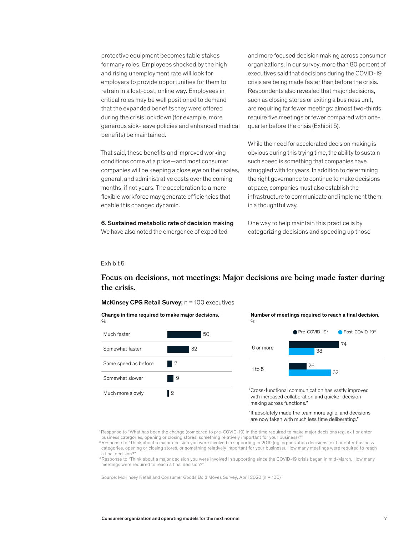protective equipment becomes table stakes for many roles. Employees shocked by the high and rising unemployment rate will look for employers to provide opportunities for them to retrain in a lost-cost, online way. Employees in critical roles may be well positioned to demand that the expanded benefits they were offered during the crisis lockdown (for example, more generous sick-leave policies and enhanced medical benefits) be maintained.

That said, these benefits and improved working conditions come at a price—and most consumer companies will be keeping a close eye on their sales, general, and administrative costs over the coming months, if not years. The acceleration to a more flexible workforce may generate efficiencies that enable this changed dynamic. Consumer organization and operating models for the next normal

6. Sustained metabolic rate of decision making We have also noted the emergence of expedited

and more focused decision making across consumer organizations. In our survey, more than 80 percent of executives said that decisions during the COVID-19 crisis are being made faster than before the crisis. Respondents also revealed that major decisions, such as closing stores or exiting a business unit, are requiring far fewer meetings: almost two-thirds require five meetings or fewer compared with onequarter before the crisis (Exhibit 5).

While the need for accelerated decision making is obvious during this trying time, the ability to sustain such speed is something that companies have struggled with for years. In addition to determining the right governance to continue to make decisions at pace, companies must also establish the infrastructure to communicate and implement them in a thoughtful way.

One way to help maintain this practice is by categorizing decisions and speeding up those

#### Exhibit 5

#### **Focus on decisions, not meetings: Major decisions are being made faster during the crisis.**

Change in time required to make major decisions,<sup>1</sup>  $\frac{0}{0}$ Much faster 50 Somewhat faster **32** Same speed as before  $\blacksquare$  7 Somewhat slower 9 Much more slowly 2

Number of meetings required to reach a final decision,



"Cross-functional communication has vastly improved with increased collaboration and quicker decision making across functions."

"It absolutely made the team more agile, and decisions are now taken with much less time deliberating."

1 Response to "What has been the change (compared to pre-COVID-19) in the time required to make major decisions (eg, exit or enter business categories, opening or closing stores, something relatively important for your business)?"

2 Response to "Think about a major decision you were involved in supporting in 2019 (eg, organization decisions, exit or enter business categories, opening or closing stores, or something relatively important for your business). How many meetings were required to reach a final decision?

<sup>3</sup> Response to "Think about a major decision you were involved in supporting since the COVID-19 crisis began in mid-March. How many meetings were required to reach a final decision?

Source: McKinsey Retail and Consumer Goods Bold Moves Survey, April 2020 (n = 100)

McKinsey CPG Retail Survey;  $n = 100$  executives